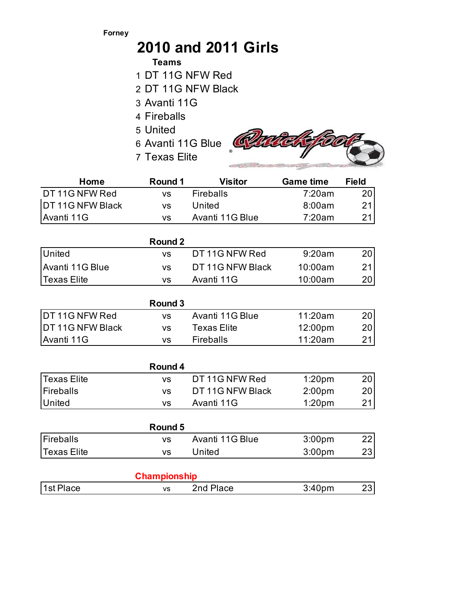## **Forney**

## **2010 and 2011 Girls**

## **Teams**

- 1 DT 11G NFW Red
- 2 DT 11G NFW Black
- 3 Avanti 11G
- 4 Fireballs
- 5 United
- 
- 7 Texas Elite



| Home               | Round 1<br><b>Visitor</b> |                             | <b>Game time</b>   | <b>Field</b> |  |
|--------------------|---------------------------|-----------------------------|--------------------|--------------|--|
| DT 11G NFW Red     | <b>VS</b>                 | <b>Fireballs</b>            | 7:20am             |              |  |
| DT 11G NFW Black   | VS                        | United                      | 8:00am             |              |  |
| Avanti 11G         | <b>VS</b>                 | Avanti 11G Blue             | 7:20am             | 21           |  |
|                    |                           |                             |                    |              |  |
|                    | <b>Round 2</b>            |                             |                    |              |  |
| United             | <b>VS</b>                 | DT 11G NFW Red              | 9:20am             | 20           |  |
| Avanti 11G Blue    | <b>VS</b>                 | DT 11G NFW Black            | 10:00am            |              |  |
| <b>Texas Elite</b> | <b>VS</b>                 | Avanti 11G                  | 10:00am            | 20           |  |
|                    |                           |                             |                    |              |  |
|                    | Round 3                   |                             |                    |              |  |
| DT 11G NFW Red     | <b>VS</b>                 | Avanti 11G Blue             | 11:20am            | 20           |  |
| DT 11G NFW Black   | <b>VS</b>                 | <b>Texas Elite</b>          | 12:00pm            | 20           |  |
| Avanti 11G         | VS                        | 11:20am<br><b>Fireballs</b> |                    | 21           |  |
|                    |                           |                             |                    |              |  |
|                    | Round 4                   |                             |                    |              |  |
| <b>Texas Elite</b> | <b>VS</b>                 | DT 11G NFW Red<br>1:20pm    |                    | 20           |  |
| <b>Fireballs</b>   | <b>VS</b>                 | DT 11G NFW Black            | 2:00 <sub>pm</sub> | 20           |  |
| United             | <b>VS</b>                 | Avanti 11G                  | 1:20 <sub>pm</sub> | 21           |  |
|                    |                           |                             |                    |              |  |
|                    | Round 5                   |                             |                    |              |  |
| <b>Fireballs</b>   | <b>VS</b>                 | Avanti 11G Blue             | 3:00pm             | 22           |  |
| <b>Texas Elite</b> | <b>VS</b>                 | United                      | 3:00pm             | 23           |  |
|                    |                           |                             |                    |              |  |
|                    | <b>Championship</b>       |                             |                    |              |  |
| 1st Place          | <b>VS</b>                 | 2nd Place                   | 3:40pm             | 23           |  |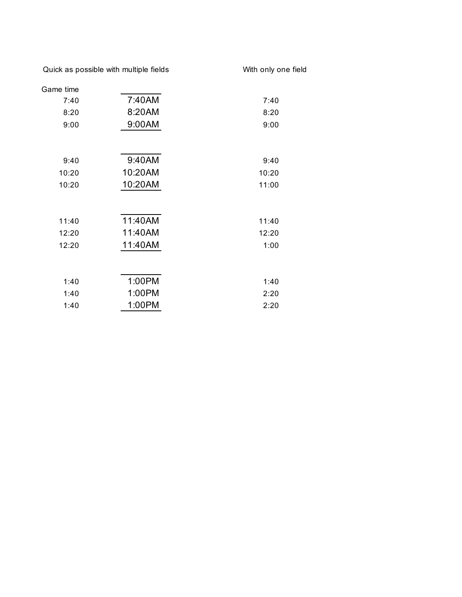Quick as possible with multiple fields With only one field

| Game time |         |       |
|-----------|---------|-------|
| 7:40      | 7:40AM  | 7:40  |
| 8:20      | 8:20AM  | 8:20  |
| 9:00      | 9:00AM  | 9:00  |
|           |         |       |
| 9:40      | 9:40AM  | 9:40  |
| 10:20     | 10:20AM | 10:20 |
| 10:20     | 10:20AM | 11:00 |
|           |         |       |
| 11:40     | 11:40AM | 11:40 |
| 12:20     | 11:40AM | 12:20 |
| 12:20     | 11:40AM | 1:00  |
|           |         |       |
| 1:40      | 1:00PM  | 1:40  |
| 1:40      | 1:00PM  | 2:20  |
| 1:40      | 1:00PM  | 2:20  |